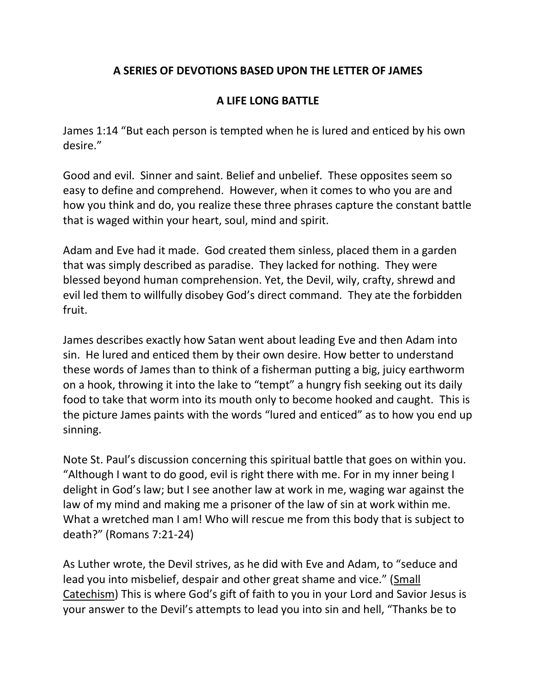## **A SERIES OF DEVOTIONS BASED UPON THE LETTER OF JAMES**

## **A LIFE LONG BATTLE**

James 1:14 "But each person is tempted when he is lured and enticed by his own desire."

Good and evil. Sinner and saint. Belief and unbelief. These opposites seem so easy to define and comprehend. However, when it comes to who you are and how you think and do, you realize these three phrases capture the constant battle that is waged within your heart, soul, mind and spirit.

Adam and Eve had it made. God created them sinless, placed them in a garden that was simply described as paradise. They lacked for nothing. They were blessed beyond human comprehension. Yet, the Devil, wily, crafty, shrewd and evil led them to willfully disobey God's direct command. They ate the forbidden fruit.

James describes exactly how Satan went about leading Eve and then Adam into sin. He lured and enticed them by their own desire. How better to understand these words of James than to think of a fisherman putting a big, juicy earthworm on a hook, throwing it into the lake to "tempt" a hungry fish seeking out its daily food to take that worm into its mouth only to become hooked and caught. This is the picture James paints with the words "lured and enticed" as to how you end up sinning.

Note St. Paul's discussion concerning this spiritual battle that goes on within you. "Although I want to do good, evil is right there with me. For in my inner being I delight in God's law; but I see another law at work in me, waging war against the law of my mind and making me a prisoner of the law of sin at work within me. What a wretched man I am! Who will rescue me from this body that is subject to death?" (Romans 7:21-24)

As Luther wrote, the Devil strives, as he did with Eve and Adam, to "seduce and lead you into misbelief, despair and other great shame and vice." (Small Catechism) This is where God's gift of faith to you in your Lord and Savior Jesus is your answer to the Devil's attempts to lead you into sin and hell, "Thanks be to